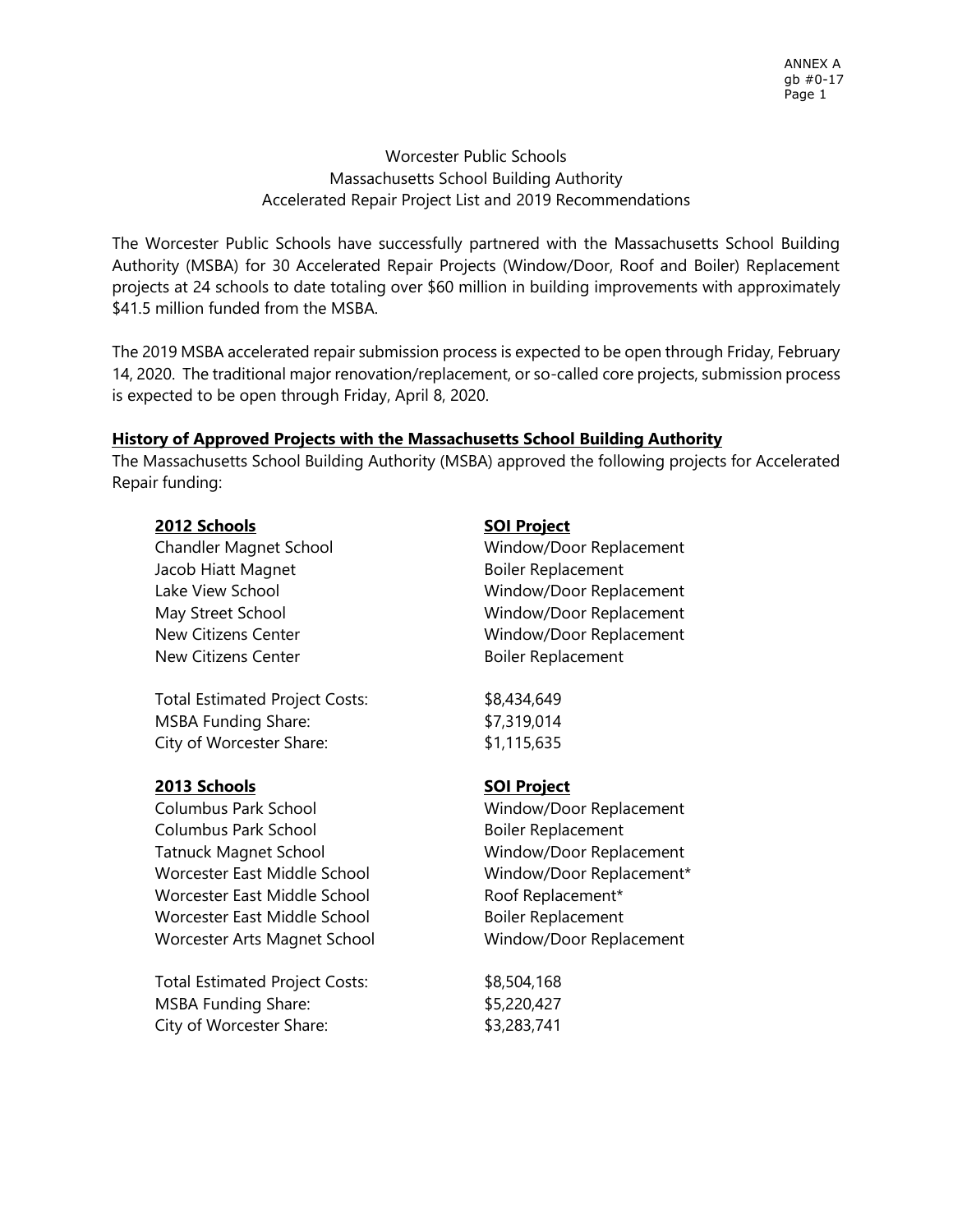# Worcester Public Schools Massachusetts School Building Authority Accelerated Repair Project List and 2019 Recommendations

The Worcester Public Schools have successfully partnered with the Massachusetts School Building Authority (MSBA) for 30 Accelerated Repair Projects (Window/Door, Roof and Boiler) Replacement projects at 24 schools to date totaling over \$60 million in building improvements with approximately \$41.5 million funded from the MSBA.

The 2019 MSBA accelerated repair submission process is expected to be open through Friday, February 14, 2020. The traditional major renovation/replacement, or so-called core projects, submission process is expected to be open through Friday, April 8, 2020.

### **History of Approved Projects with the Massachusetts School Building Authority**

The Massachusetts School Building Authority (MSBA) approved the following projects for Accelerated Repair funding:

### **2012 Schools** SOI Project

Jacob Hiatt Magnet **Boiler Replacement** New Citizens Center **Boiler Replacement** 

Total Estimated Project Costs: \$8,434,649 MSBA Funding Share:  $$7,319,014$ City of Worcester Share: \$1,115,635

# **2013 Schools SOI Project**

Columbus Park School Window/Door Replacement Columbus Park School Boiler Replacement Tatnuck Magnet School Window/Door Replacement Worcester East Middle School Window/Door Replacement\* Worcester East Middle School Roof Replacement\* Worcester East Middle School Boiler Replacement Worcester Arts Magnet School Window/Door Replacement

Total Estimated Project Costs: \$8,504,168 MSBA Funding Share:  $$5,220,427$ City of Worcester Share: \$3,283,741

Chandler Magnet School Window/Door Replacement Lake View School **Window/Door Replacement** May Street School May Street School and Mindow/Door Replacement New Citizens Center Manual Communiculary Mindow/Door Replacement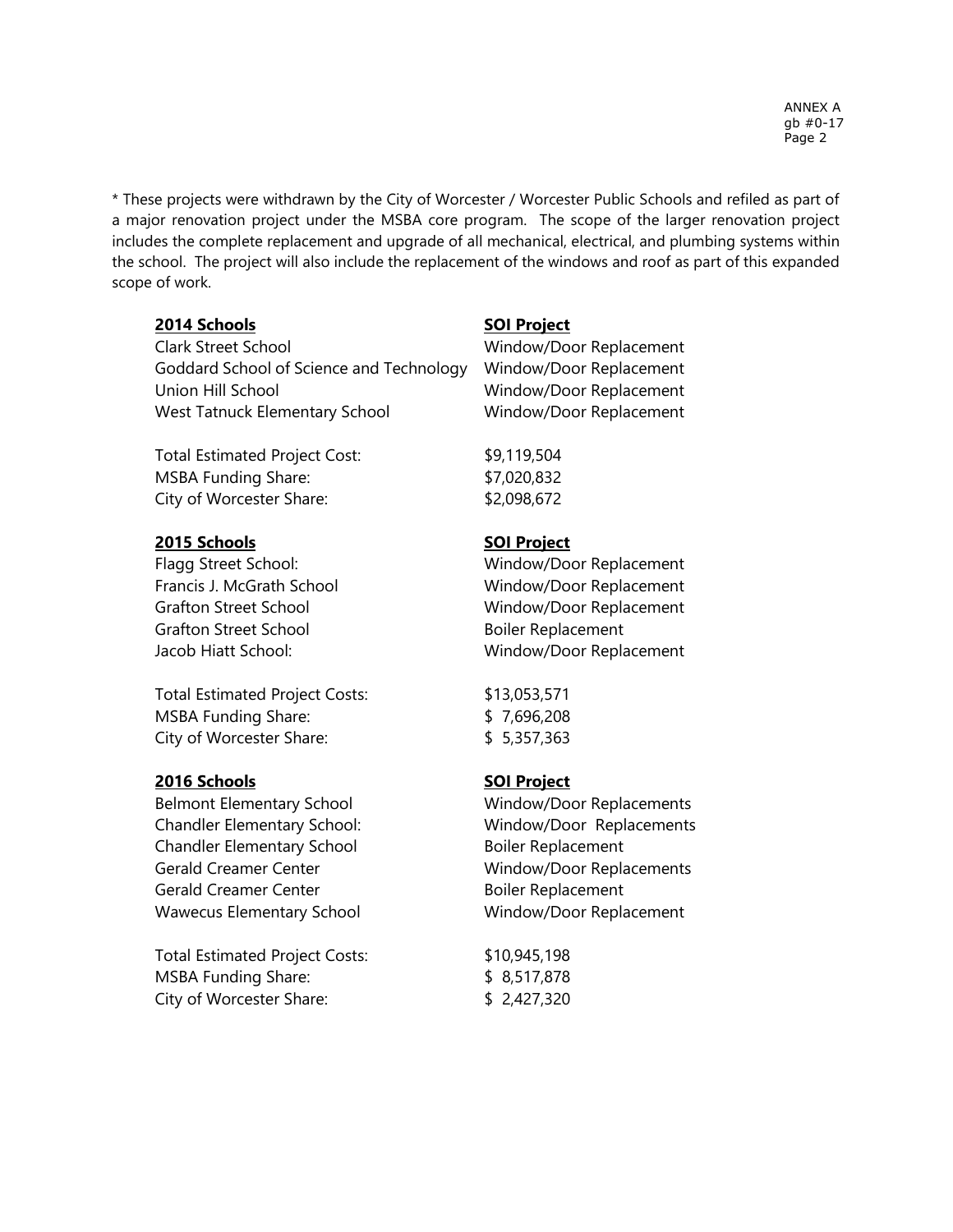\* These projects were withdrawn by the City of Worcester / Worcester Public Schools and refiled as part of a major renovation project under the MSBA core program. The scope of the larger renovation project includes the complete replacement and upgrade of all mechanical, electrical, and plumbing systems within the school. The project will also include the replacement of the windows and roof as part of this expanded scope of work.

### **2014 Schools SOI Project**

Clark Street School Window/Door Replacement Goddard School of Science and Technology Window/Door Replacement Union Hill School Window/Door Replacement West Tatnuck Elementary School Window/Door Replacement

Total Estimated Project Cost: \$9,119,504 MSBA Funding Share:  $$7,020,832$ City of Worcester Share:  $$2,098,672$ 

# **2015 Schools SOI Project**

Grafton Street School Boiler Replacement

Total Estimated Project Costs: \$13,053,571 MSBA Funding Share: \$ 7,696,208 City of Worcester Share: \$ 5,357,363

# **2016 Schools SOI Project**

Belmont Elementary School Window/Door Replacements Chandler Elementary School Boiler Replacement Gerald Creamer Center Window/Door Replacements Gerald Creamer Center **Boiler Replacement** Wawecus Elementary School Window/Door Replacement

Total Estimated Project Costs: \$10,945,198 MSBA Funding Share:  $$8,517,878$ City of Worcester Share: \$ 2,427,320

Flagg Street School: Window/Door Replacement Francis J. McGrath School Window/Door Replacement Grafton Street School Window/Door Replacement Jacob Hiatt School: Window/Door Replacement

Chandler Elementary School: Window/Door Replacements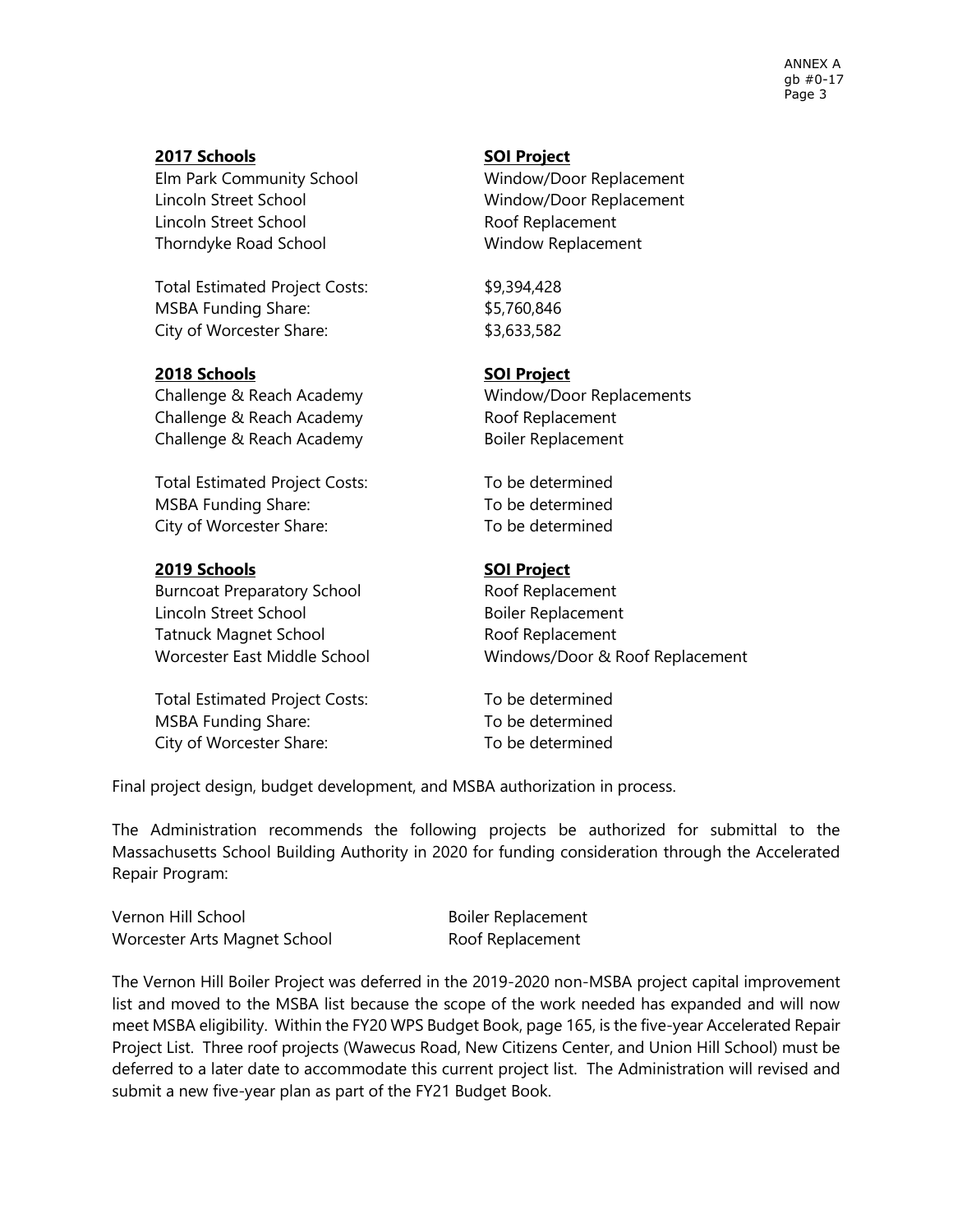ANNEX A gb #0-17 Page 3

### **2017 Schools SOI Project**

Lincoln Street School Window/Door Replacement Lincoln Street School **Roof Replacement** Thorndyke Road School Window Replacement

Total Estimated Project Costs: \$9,394,428 MSBA Funding Share:  $$5,760,846$ City of Worcester Share:  $$3,633,582$ 

### **2018 Schools SOI Project**

Challenge & Reach Academy Window/Door Replacements Challenge & Reach Academy Roof Replacement Challenge & Reach Academy Boiler Replacement

Total Estimated Project Costs: To be determined MSBA Funding Share: To be determined City of Worcester Share: To be determined

# **2019 Schools SOI Project**

Burncoat Preparatory School Roof Replacement Lincoln Street School and Boiler Replacement Tatnuck Magnet School Roof Replacement

Total Estimated Project Costs: To be determined MSBA Funding Share: The MSBA Funding Share: City of Worcester Share: To be determined

Elm Park Community School Window/Door Replacement

Worcester East Middle School Windows/Door & Roof Replacement

Final project design, budget development, and MSBA authorization in process.

The Administration recommends the following projects be authorized for submittal to the Massachusetts School Building Authority in 2020 for funding consideration through the Accelerated Repair Program:

Vernon Hill School and Boiler Replacement Worcester Arts Magnet School Roof Replacement

The Vernon Hill Boiler Project was deferred in the 2019-2020 non-MSBA project capital improvement list and moved to the MSBA list because the scope of the work needed has expanded and will now meet MSBA eligibility. Within the FY20 WPS Budget Book, page 165, is the five-year Accelerated Repair Project List. Three roof projects (Wawecus Road, New Citizens Center, and Union Hill School) must be deferred to a later date to accommodate this current project list. The Administration will revised and submit a new five-year plan as part of the FY21 Budget Book.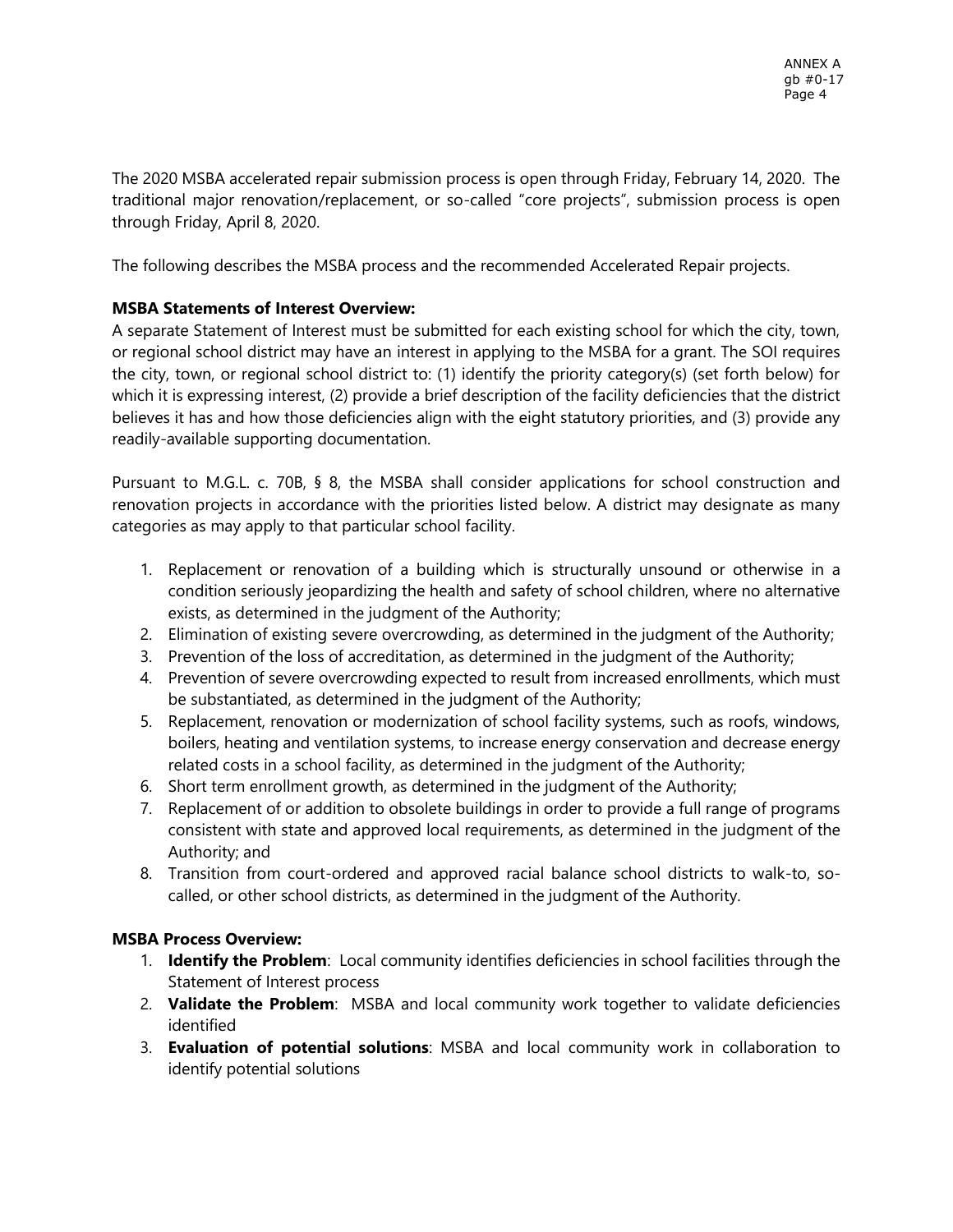The 2020 MSBA accelerated repair submission process is open through Friday, February 14, 2020. The traditional major renovation/replacement, or so-called "core projects", submission process is open through Friday, April 8, 2020.

The following describes the MSBA process and the recommended Accelerated Repair projects.

# **MSBA Statements of Interest Overview:**

A separate Statement of Interest must be submitted for each existing school for which the city, town, or regional school district may have an interest in applying to the MSBA for a grant. The SOI requires the city, town, or regional school district to: (1) identify the priority category(s) (set forth below) for which it is expressing interest, (2) provide a brief description of the facility deficiencies that the district believes it has and how those deficiencies align with the eight statutory priorities, and (3) provide any readily-available supporting documentation.

Pursuant to M.G.L. c. 70B, § 8, the MSBA shall consider applications for school construction and renovation projects in accordance with the priorities listed below. A district may designate as many categories as may apply to that particular school facility.

- 1. Replacement or renovation of a building which is structurally unsound or otherwise in a condition seriously jeopardizing the health and safety of school children, where no alternative exists, as determined in the judgment of the Authority;
- 2. Elimination of existing severe overcrowding, as determined in the judgment of the Authority;
- 3. Prevention of the loss of accreditation, as determined in the judgment of the Authority;
- 4. Prevention of severe overcrowding expected to result from increased enrollments, which must be substantiated, as determined in the judgment of the Authority;
- 5. Replacement, renovation or modernization of school facility systems, such as roofs, windows, boilers, heating and ventilation systems, to increase energy conservation and decrease energy related costs in a school facility, as determined in the judgment of the Authority;
- 6. Short term enrollment growth, as determined in the judgment of the Authority;
- 7. Replacement of or addition to obsolete buildings in order to provide a full range of programs consistent with state and approved local requirements, as determined in the judgment of the Authority; and
- 8. Transition from court-ordered and approved racial balance school districts to walk-to, socalled, or other school districts, as determined in the judgment of the Authority.

# **MSBA Process Overview:**

- 1. **Identify the Problem**: Local community identifies deficiencies in school facilities through the Statement of Interest process
- 2. **Validate the Problem**: MSBA and local community work together to validate deficiencies identified
- 3. **Evaluation of potential solutions**: MSBA and local community work in collaboration to identify potential solutions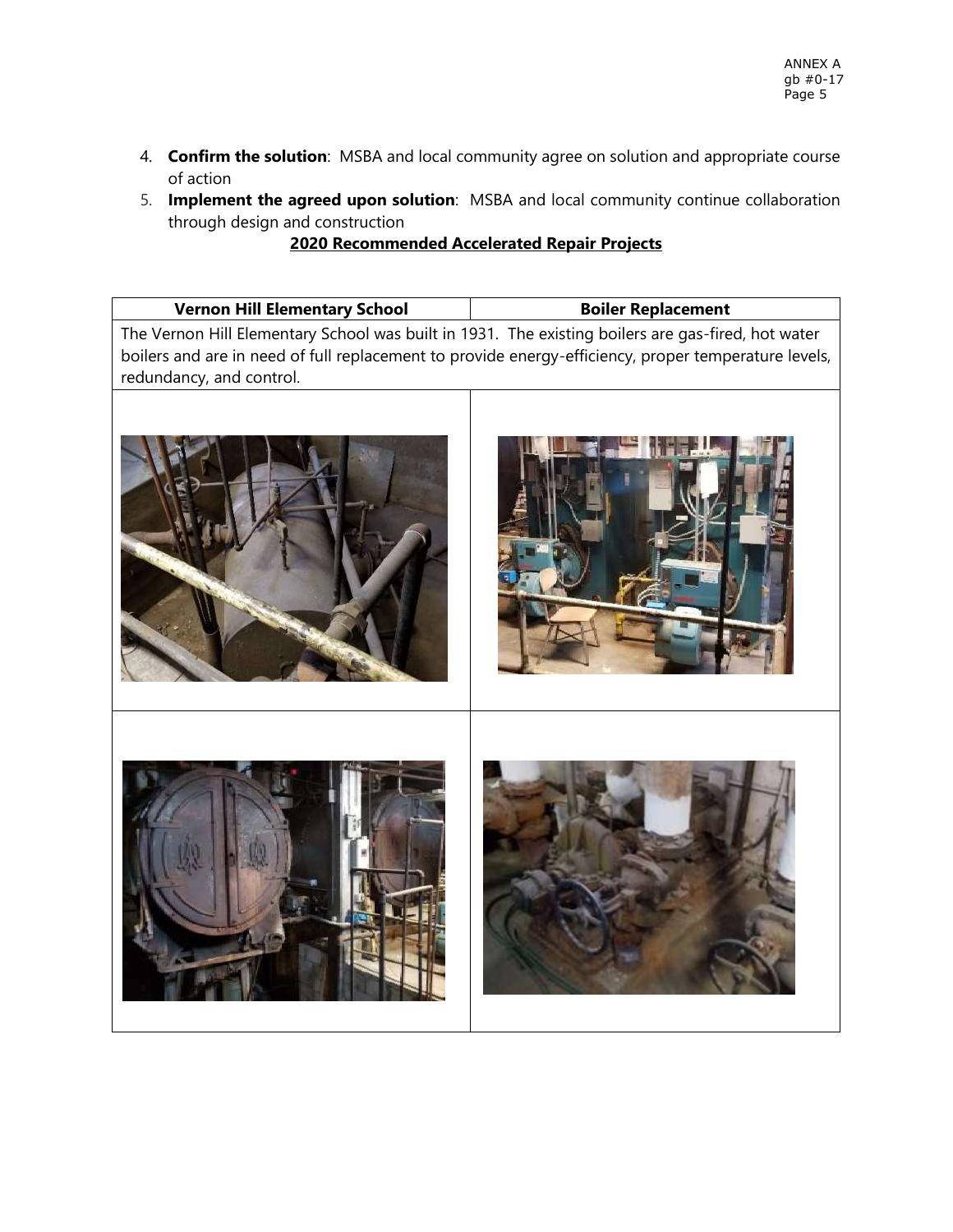- 4. **Confirm the solution**: MSBA and local community agree on solution and appropriate course of action
- 5. **Implement the agreed upon solution**: MSBA and local community continue collaboration through design and construction

### **2020 Recommended Accelerated Repair Projects**

|  | <b>Vernon Hill Elementary School</b> | <b>Boiler Replacement</b> |
|--|--------------------------------------|---------------------------|
|--|--------------------------------------|---------------------------|

The Vernon Hill Elementary School was built in 1931. The existing boilers are gas-fired, hot water boilers and are in need of full replacement to provide energy-efficiency, proper temperature levels, redundancy, and control.